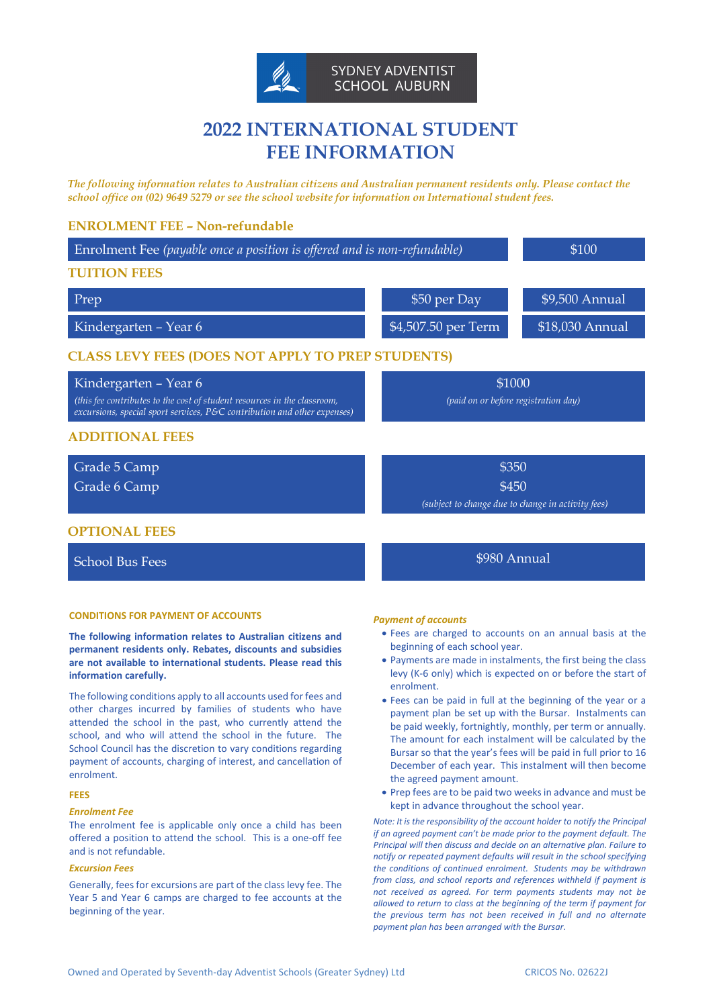

# **2022 INTERNATIONAL STUDENT FEE INFORMATION**

*The following information relates to Australian citizens and Australian permanent residents only. Please contact the school office on (02) 9649 5279 or see the school website for information on International student fees.*

## **ENROLMENT FEE – Non-refundable**

| Enrolment Fee (payable once a position is offered and is non-refundable)                                                                                                      |                                                    | \$100           |
|-------------------------------------------------------------------------------------------------------------------------------------------------------------------------------|----------------------------------------------------|-----------------|
| <b>TUITION FEES</b>                                                                                                                                                           |                                                    |                 |
| Prep                                                                                                                                                                          | \$50 per Day                                       | \$9,500 Annual  |
| Kindergarten – Year 6                                                                                                                                                         | \$4,507.50 per Term                                | \$18,030 Annual |
| <b>CLASS LEVY FEES (DOES NOT APPLY TO PREP STUDENTS)</b>                                                                                                                      |                                                    |                 |
| Kindergarten - Year 6<br>(this fee contributes to the cost of student resources in the classroom,<br>excursions, special sport services, P&C contribution and other expenses) | \$1000<br>(paid on or before registration day)     |                 |
| <b>ADDITIONAL FEES</b>                                                                                                                                                        |                                                    |                 |
| Grade 5 Camp                                                                                                                                                                  | \$350                                              |                 |
| Grade 6 Camp                                                                                                                                                                  | \$450                                              |                 |
|                                                                                                                                                                               | (subject to change due to change in activity fees) |                 |
| <b>OPTIONAL FEES</b>                                                                                                                                                          |                                                    |                 |
| <b>School Bus Fees</b>                                                                                                                                                        | \$980 Annual                                       |                 |

#### **CONDITIONS FOR PAYMENT OF ACCOUNTS**

**The following information relates to Australian citizens and permanent residents only. Rebates, discounts and subsidies are not available to international students. Please read this information carefully.**

The following conditions apply to all accounts used for fees and other charges incurred by families of students who have attended the school in the past, who currently attend the school, and who will attend the school in the future. The School Council has the discretion to vary conditions regarding payment of accounts, charging of interest, and cancellation of enrolment.

## **FEES**

## *Enrolment Fee*

The enrolment fee is applicable only once a child has been offered a position to attend the school. This is a one-off fee and is not refundable.

## *Excursion Fees*

Generally, fees for excursions are part of the class levy fee. The Year 5 and Year 6 camps are charged to fee accounts at the beginning of the year.

#### *Payment of accounts*

- Fees are charged to accounts on an annual basis at the beginning of each school year.
- Payments are made in instalments, the first being the class levy (K-6 only) which is expected on or before the start of enrolment.
- Fees can be paid in full at the beginning of the year or a payment plan be set up with the Bursar. Instalments can be paid weekly, fortnightly, monthly, per term or annually. The amount for each instalment will be calculated by the Bursar so that the year's fees will be paid in full prior to 16 December of each year. This instalment will then become the agreed payment amount.
- Prep fees are to be paid two weeks in advance and must be kept in advance throughout the school year.

*Note: It is the responsibility of the account holder to notify the Principal if an agreed payment can't be made prior to the payment default. The Principal will then discuss and decide on an alternative plan. Failure to notify or repeated payment defaults will result in the school specifying the conditions of continued enrolment. Students may be withdrawn from class, and school reports and references withheld if payment is not received as agreed. For term payments students may not be allowed to return to class at the beginning of the term if payment for the previous term has not been received in full and no alternate payment plan has been arranged with the Bursar.*